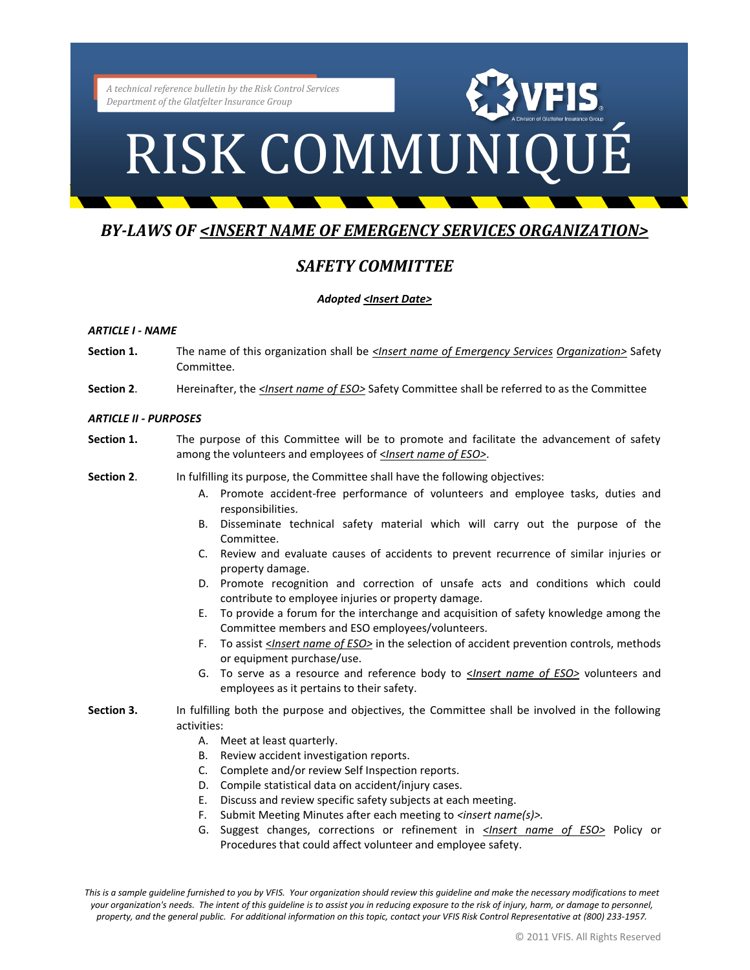### RISK COMMUNIQUÉ

### *BY-LAWS OF <INSERT NAME OF EMERGENCY SERVICES ORGANIZATION>*

### *SAFETY COMMITTEE*

### *Adopted <Insert Date>*

### *ARTICLE I - NAME*

- **Section 1.** The name of this organization shall be *<Insert name of Emergency Services Organization>* Safety Committee.
- **Section 2**. Hereinafter, the *<Insert name of ESO>* Safety Committee shall be referred to as the Committee

### *ARTICLE II - PURPOSES*

- **Section 1.** The purpose of this Committee will be to promote and facilitate the advancement of safety among the volunteers and employees of <*Insert name of ESO>*.
- **Section 2**. In fulfilling its purpose, the Committee shall have the following objectives:
	- A. Promote accident-free performance of volunteers and employee tasks, duties and responsibilities.
	- B. Disseminate technical safety material which will carry out the purpose of the Committee.
	- C. Review and evaluate causes of accidents to prevent recurrence of similar injuries or property damage.
	- D. Promote recognition and correction of unsafe acts and conditions which could contribute to employee injuries or property damage.
	- E. To provide a forum for the interchange and acquisition of safety knowledge among the Committee members and ESO employees/volunteers.
	- F. To assist <*Insert name of ESO>* in the selection of accident prevention controls, methods or equipment purchase/use.
	- G. To serve as a resource and reference body to <*Insert name of ESO>* volunteers and employees as it pertains to their safety.
- **Section 3.** In fulfilling both the purpose and objectives, the Committee shall be involved in the following activities:
	- A. Meet at least quarterly.
	- B. Review accident investigation reports.
	- C. Complete and/or review Self Inspection reports.
	- D. Compile statistical data on accident/injury cases.
	- E. Discuss and review specific safety subjects at each meeting.
	- F. Submit Meeting Minutes after each meeting to *<insert name(s)>.*
	- G. Suggest changes, corrections or refinement in *<Insert name of ESO>* Policy or Procedures that could affect volunteer and employee safety.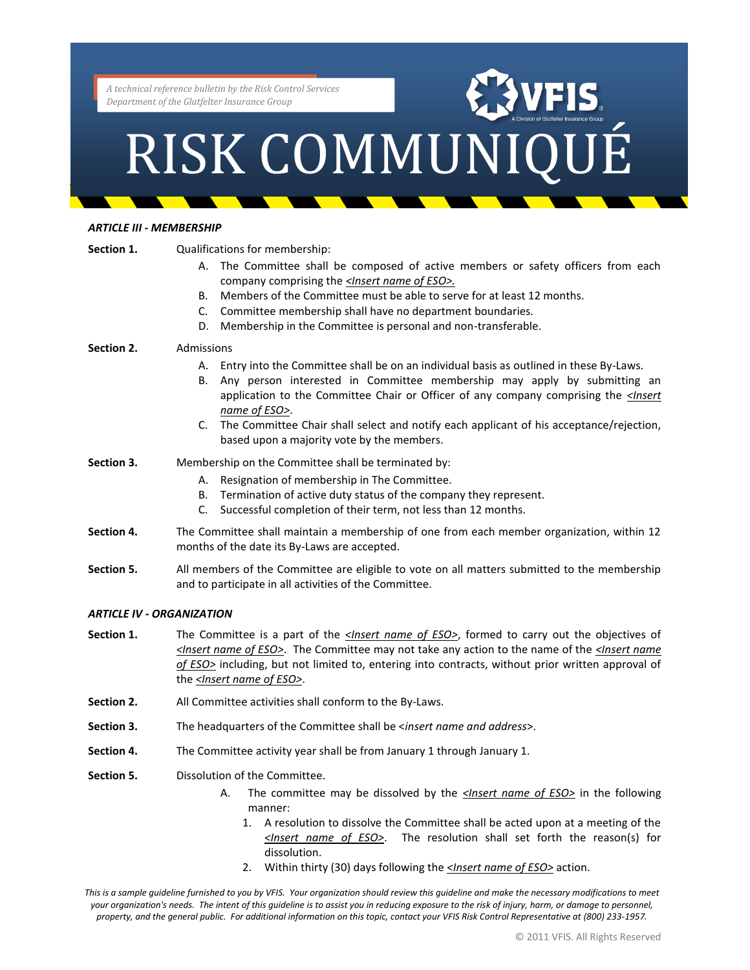## Partment of the Glatfelter Insurance Group<br>RISK COMMUNIQUÉ

### *ARTICLE III - MEMBERSHIP*

| Section 1.                       | Qualifications for membership:                                                                                                                                                                                                                                                                                                      |  |
|----------------------------------|-------------------------------------------------------------------------------------------------------------------------------------------------------------------------------------------------------------------------------------------------------------------------------------------------------------------------------------|--|
|                                  | A. The Committee shall be composed of active members or safety officers from each<br>company comprising the <lnsert eso="" name="" of="">.</lnsert>                                                                                                                                                                                 |  |
|                                  | Members of the Committee must be able to serve for at least 12 months.<br><b>B.</b>                                                                                                                                                                                                                                                 |  |
|                                  | Committee membership shall have no department boundaries.<br>C.                                                                                                                                                                                                                                                                     |  |
|                                  | Membership in the Committee is personal and non-transferable.<br>D.                                                                                                                                                                                                                                                                 |  |
| Section 2.                       | Admissions                                                                                                                                                                                                                                                                                                                          |  |
|                                  | Entry into the Committee shall be on an individual basis as outlined in these By-Laws.<br>А.<br>Any person interested in Committee membership may apply by submitting an<br>В.<br>application to the Committee Chair or Officer of any company comprising the < <i>lnsert</i><br>name of ESO>.                                      |  |
|                                  | The Committee Chair shall select and notify each applicant of his acceptance/rejection,<br>C.<br>based upon a majority vote by the members.                                                                                                                                                                                         |  |
| Section 3.                       | Membership on the Committee shall be terminated by:                                                                                                                                                                                                                                                                                 |  |
|                                  | Resignation of membership in The Committee.<br>А.                                                                                                                                                                                                                                                                                   |  |
|                                  | Termination of active duty status of the company they represent.<br>В.                                                                                                                                                                                                                                                              |  |
|                                  | Successful completion of their term, not less than 12 months.<br>C.                                                                                                                                                                                                                                                                 |  |
| Section 4.                       | The Committee shall maintain a membership of one from each member organization, within 12<br>months of the date its By-Laws are accepted.                                                                                                                                                                                           |  |
| Section 5.                       | All members of the Committee are eligible to vote on all matters submitted to the membership<br>and to participate in all activities of the Committee.                                                                                                                                                                              |  |
| <b>ARTICLE IV - ORGANIZATION</b> |                                                                                                                                                                                                                                                                                                                                     |  |
| Section 1.                       | The Committee is a part of the <b><lnsert b="" eso<="" name="" of="">&gt;, formed to carry out the objectives of<br/>sinsert name of ESO&gt;. The Committee may not take any action to the name of the sinsert name<br/>of ECOs including but not limited to optering into contracts without prior written approval of</lnsert></b> |  |

- *of ESO>* including, but not limited to, entering into contracts, without prior written approval of the *<Insert name of ESO>*.
- **Section 2.** All Committee activities shall conform to the By-Laws.
- **Section 3.** The headquarters of the Committee shall be <*insert name and address*>.
- **Section 4.** The Committee activity year shall be from January 1 through January 1.
- **Section 5.** Dissolution of the Committee.
	- A. The committee may be dissolved by the *<Insert name of ESO>* in the following manner:
		- 1. A resolution to dissolve the Committee shall be acted upon at a meeting of the *<Insert name of ESO>*. The resolution shall set forth the reason(s) for dissolution.
		- 2. Within thirty (30) days following the *<Insert name of ESO>* action.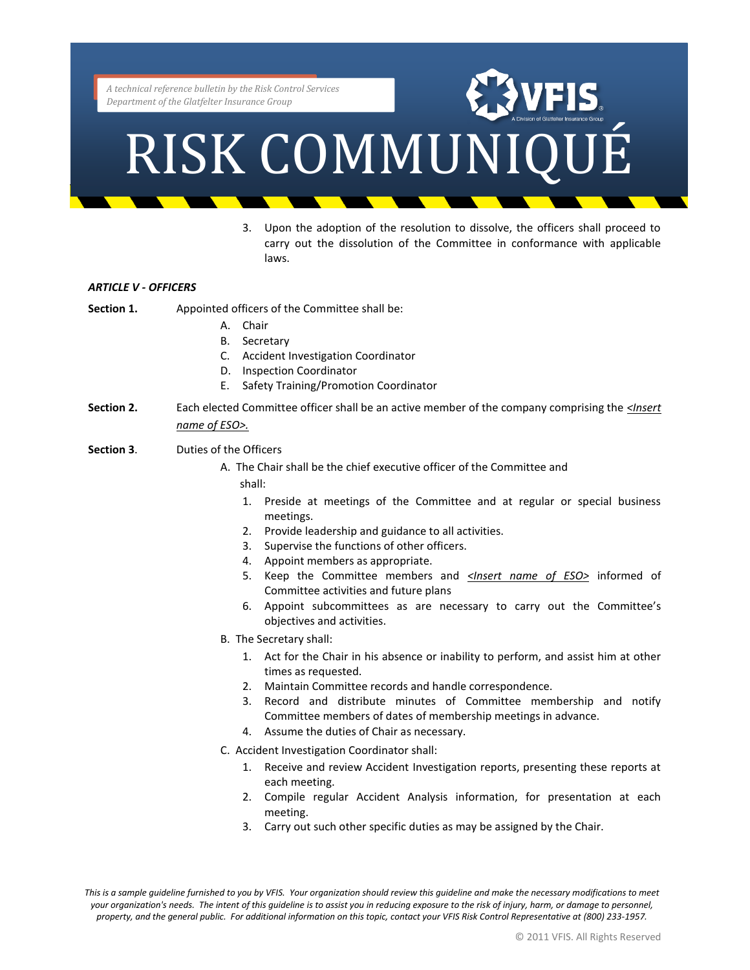### RISK COMMUNIQUÉ

3. Upon the adoption of the resolution to dissolve, the officers shall proceed to carry out the dissolution of the Committee in conformance with applicable laws.

### *ARTICLE V - OFFICERS*

- **Section 1.** Appointed officers of the Committee shall be:
	- A. Chair
	- B. Secretary
	- C. Accident Investigation Coordinator
	- D. Inspection Coordinator
	- E. Safety Training/Promotion Coordinator
- **Section 2.** Each elected Committee officer shall be an active member of the company comprising the *<Insert name of ESO>.*
- **Section 3**. Duties of the Officers
	- A. The Chair shall be the chief executive officer of the Committee and shall:
		- 1. Preside at meetings of the Committee and at regular or special business meetings.
		- 2. Provide leadership and guidance to all activities.
		- 3. Supervise the functions of other officers.
		- 4. Appoint members as appropriate.
		- 5. Keep the Committee members and *<Insert name of ESO>* informed of Committee activities and future plans
		- 6. Appoint subcommittees as are necessary to carry out the Committee's objectives and activities.
	- B. The Secretary shall:
		- 1. Act for the Chair in his absence or inability to perform, and assist him at other times as requested.
		- 2. Maintain Committee records and handle correspondence.
		- 3. Record and distribute minutes of Committee membership and notify Committee members of dates of membership meetings in advance.
		- 4. Assume the duties of Chair as necessary.
	- C. Accident Investigation Coordinator shall:
		- 1. Receive and review Accident Investigation reports, presenting these reports at each meeting.
		- 2. Compile regular Accident Analysis information, for presentation at each meeting.
		- 3. Carry out such other specific duties as may be assigned by the Chair.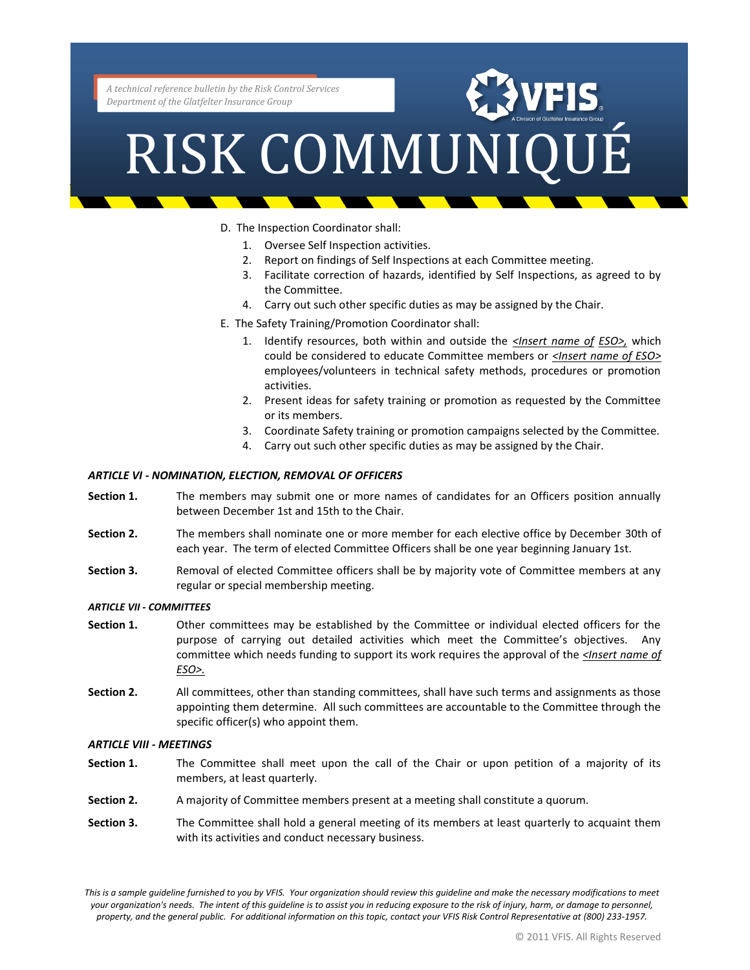## Partment of the Glatfelter Insurance Group

- D. The Inspection Coordinator shall:
	- 1. Oversee Self Inspection activities.
	- 2. Report on findings of Self Inspections at each Committee meeting.
	- 3. Facilitate correction of hazards, identified by Self Inspections, as agreed to by the Committee.
	- 4. Carry out such other specific duties as may be assigned by the Chair.
- E. The Safety Training/Promotion Coordinator shall:
	- 1. Identify resources, both within and outside the *<Insert name of ESO>,* which could be considered to educate Committee members or *<Insert name of ESO>* employees/volunteers in technical safety methods, procedures or promotion activities.
	- 2. Present ideas for safety training or promotion as requested by the Committee or its members.
	- 3. Coordinate Safety training or promotion campaigns selected by the Committee.
	- 4. Carry out such other specific duties as may be assigned by the Chair.

### *ARTICLE VI - NOMINATION, ELECTION, REMOVAL OF OFFICERS*

- **Section 1.** The members may submit one or more names of candidates for an Officers position annually between December 1st and 15th to the Chair.
- **Section 2.** The members shall nominate one or more member for each elective office by December 30th of each year. The term of elected Committee Officers shall be one year beginning January 1st.
- **Section 3.** Removal of elected Committee officers shall be by majority vote of Committee members at any regular or special membership meeting.

### *ARTICLE VII - COMMITTEES*

- **Section 1.** Other committees may be established by the Committee or individual elected officers for the purpose of carrying out detailed activities which meet the Committee's objectives. Any committee which needs funding to support its work requires the approval of the *<Insert name of ESO>.*
- **Section 2.** All committees, other than standing committees, shall have such terms and assignments as those appointing them determine. All such committees are accountable to the Committee through the specific officer(s) who appoint them.

### *ARTICLE VIII - MEETINGS*

- **Section 1.** The Committee shall meet upon the call of the Chair or upon petition of a majority of its members, at least quarterly.
- **Section 2.** A majority of Committee members present at a meeting shall constitute a quorum.
- **Section 3.** The Committee shall hold a general meeting of its members at least quarterly to acquaint them with its activities and conduct necessary business.

*This is a sample guideline furnished to you by VFIS. Your organization should review this guideline and make the necessary modifications to meet your organization's needs. The intent of this guideline is to assist you in reducing exposure to the risk of injury, harm, or damage to personnel, property, and the general public. For additional information on this topic, contact your VFIS Risk Control Representative at (800) 233-1957.*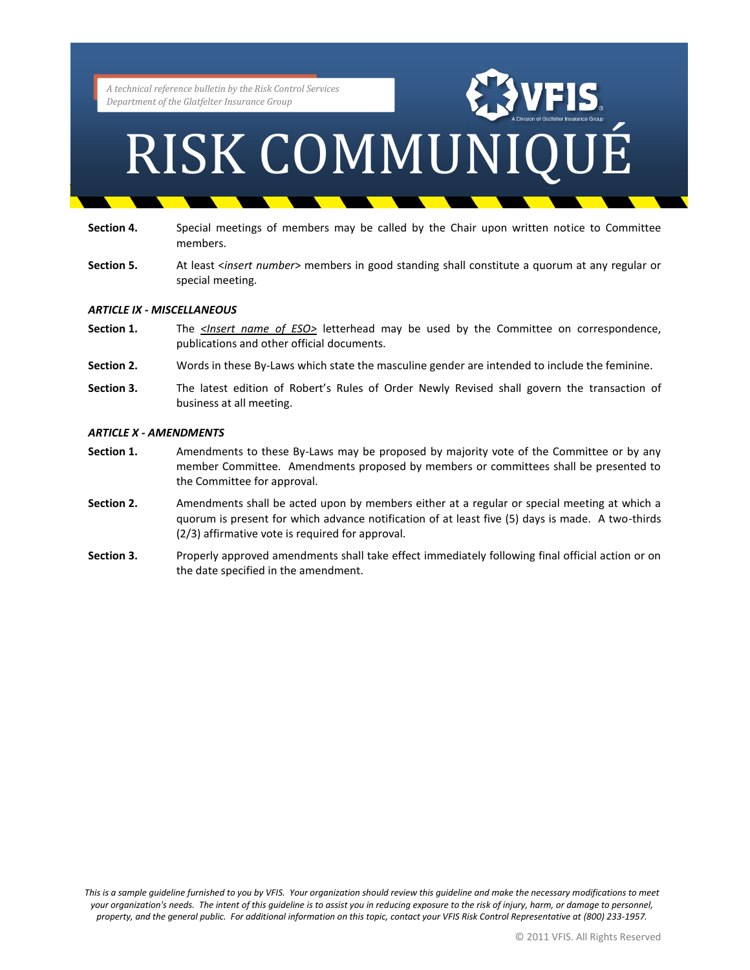## Partment of the Glatfelter Insurance Group

- **Section 4.** Special meetings of members may be called by the Chair upon written notice to Committee members.
- **Section 5.** At least <*insert number*> members in good standing shall constitute a quorum at any regular or special meeting.

### *ARTICLE IX - MISCELLANEOUS*

- Section 1. The *<Insert name of ESO>* letterhead may be used by the Committee on correspondence, publications and other official documents.
- **Section 2.** Words in these By-Laws which state the masculine gender are intended to include the feminine.
- **Section 3.** The latest edition of Robert's Rules of Order Newly Revised shall govern the transaction of business at all meeting.

### *ARTICLE X - AMENDMENTS*

- **Section 1.** Amendments to these By-Laws may be proposed by majority vote of the Committee or by any member Committee. Amendments proposed by members or committees shall be presented to the Committee for approval.
- **Section 2.** Amendments shall be acted upon by members either at a regular or special meeting at which a quorum is present for which advance notification of at least five (5) days is made. A two-thirds (2/3) affirmative vote is required for approval.
- **Section 3.** Properly approved amendments shall take effect immediately following final official action or on the date specified in the amendment.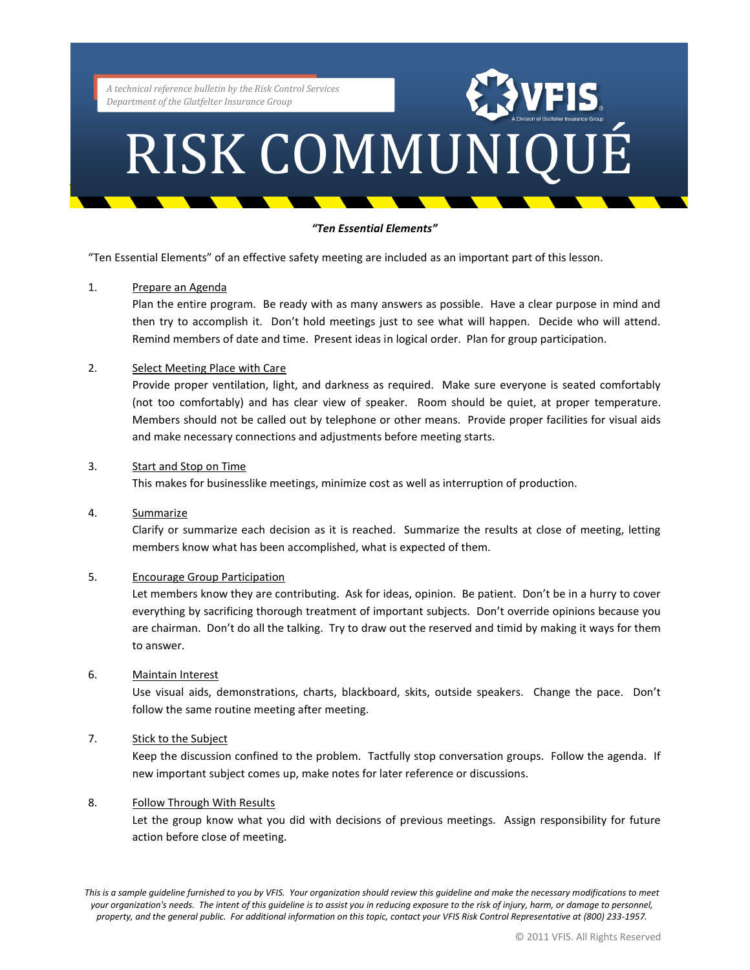### RISK COMMUNIQUÉ

### *"Ten Essential Elements"*

"Ten Essential Elements" of an effective safety meeting are included as an important part of this lesson.

### 1. Prepare an Agenda

Plan the entire program. Be ready with as many answers as possible. Have a clear purpose in mind and then try to accomplish it. Don't hold meetings just to see what will happen. Decide who will attend. Remind members of date and time. Present ideas in logical order. Plan for group participation.

### 2. Select Meeting Place with Care

Provide proper ventilation, light, and darkness as required. Make sure everyone is seated comfortably (not too comfortably) and has clear view of speaker. Room should be quiet, at proper temperature. Members should not be called out by telephone or other means. Provide proper facilities for visual aids and make necessary connections and adjustments before meeting starts.

### 3. Start and Stop on Time

This makes for businesslike meetings, minimize cost as well as interruption of production.

### 4. Summarize

Clarify or summarize each decision as it is reached. Summarize the results at close of meeting, letting members know what has been accomplished, what is expected of them.

### 5. Encourage Group Participation

Let members know they are contributing. Ask for ideas, opinion. Be patient. Don't be in a hurry to cover everything by sacrificing thorough treatment of important subjects. Don't override opinions because you are chairman. Don't do all the talking. Try to draw out the reserved and timid by making it ways for them to answer.

### 6. Maintain Interest

Use visual aids, demonstrations, charts, blackboard, skits, outside speakers. Change the pace. Don't follow the same routine meeting after meeting.

### 7. Stick to the Subject

Keep the discussion confined to the problem. Tactfully stop conversation groups. Follow the agenda. If new important subject comes up, make notes for later reference or discussions.

### 8. Follow Through With Results

Let the group know what you did with decisions of previous meetings. Assign responsibility for future action before close of meeting.

*This is a sample guideline furnished to you by VFIS. Your organization should review this guideline and make the necessary modifications to meet your organization's needs. The intent of this guideline is to assist you in reducing exposure to the risk of injury, harm, or damage to personnel, property, and the general public. For additional information on this topic, contact your VFIS Risk Control Representative at (800) 233-1957.*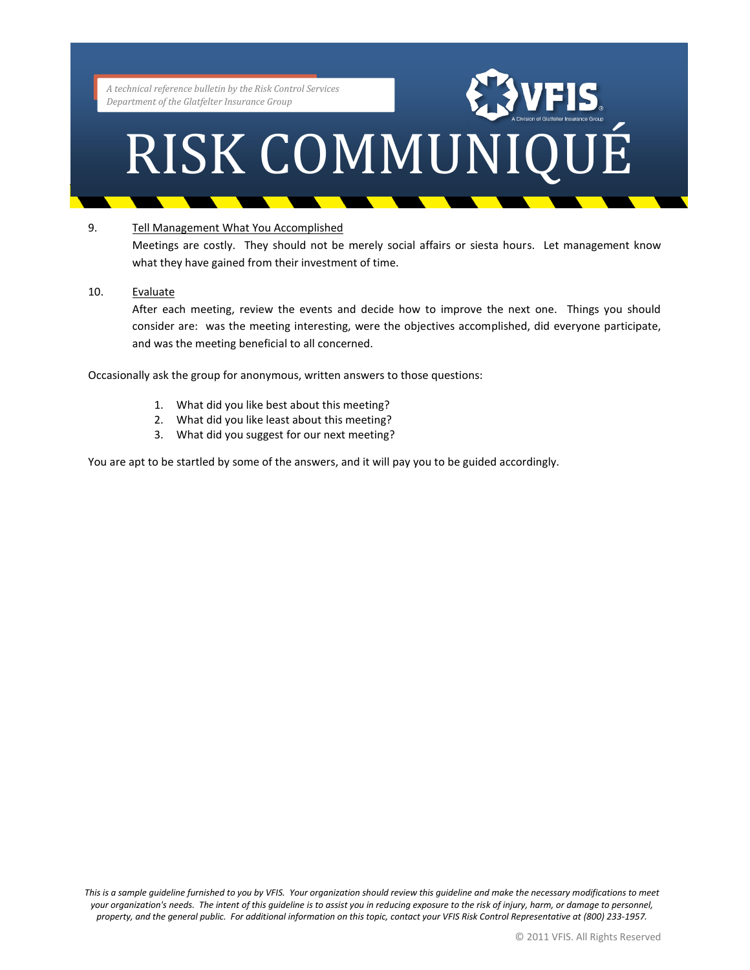### RISK COMMUNIQUÉ

### 9. Tell Management What You Accomplished

Meetings are costly. They should not be merely social affairs or siesta hours. Let management know what they have gained from their investment of time.

### 10. Evaluate

After each meeting, review the events and decide how to improve the next one. Things you should consider are: was the meeting interesting, were the objectives accomplished, did everyone participate, and was the meeting beneficial to all concerned.

Occasionally ask the group for anonymous, written answers to those questions:

- 1. What did you like best about this meeting?
- 2. What did you like least about this meeting?
- 3. What did you suggest for our next meeting?

You are apt to be startled by some of the answers, and it will pay you to be guided accordingly.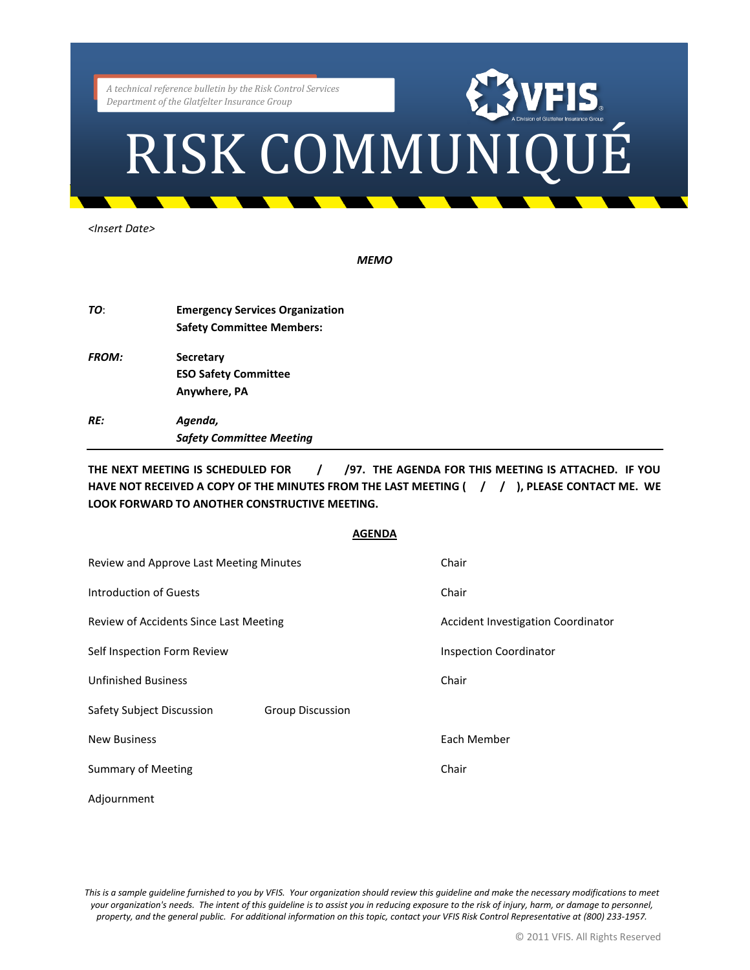# Partment of the Glatfelter Insurance Group<br>RISK COMMUNIQUÉ

*<Insert Date>*

*MEMO*

| TO:          | <b>Emergency Services Organization</b><br><b>Safety Committee Members:</b> |
|--------------|----------------------------------------------------------------------------|
| <b>FROM:</b> | <b>Secretary</b>                                                           |
|              | <b>ESO Safety Committee</b>                                                |
|              | Anywhere, PA                                                               |
| <b>RF:</b>   | Agenda,                                                                    |
|              | <b>Safety Committee Meeting</b>                                            |

THE NEXT MEETING IS SCHEDULED FOR **/ 97. THE AGENDA FOR THIS MEETING IS ATTACHED.** IF YOU **HAVE NOT RECEIVED A COPY OF THE MINUTES FROM THE LAST MEETING ( / / ), PLEASE CONTACT ME. WE LOOK FORWARD TO ANOTHER CONSTRUCTIVE MEETING.**

### **AGENDA**

| Review and Approve Last Meeting Minutes              | Chair                                     |
|------------------------------------------------------|-------------------------------------------|
| Introduction of Guests                               | Chair                                     |
| Review of Accidents Since Last Meeting               | <b>Accident Investigation Coordinator</b> |
| Self Inspection Form Review                          | <b>Inspection Coordinator</b>             |
| <b>Unfinished Business</b>                           | Chair                                     |
| Safety Subject Discussion<br><b>Group Discussion</b> |                                           |
| <b>New Business</b>                                  | Each Member                               |
| Summary of Meeting                                   | Chair                                     |
| Adjournment                                          |                                           |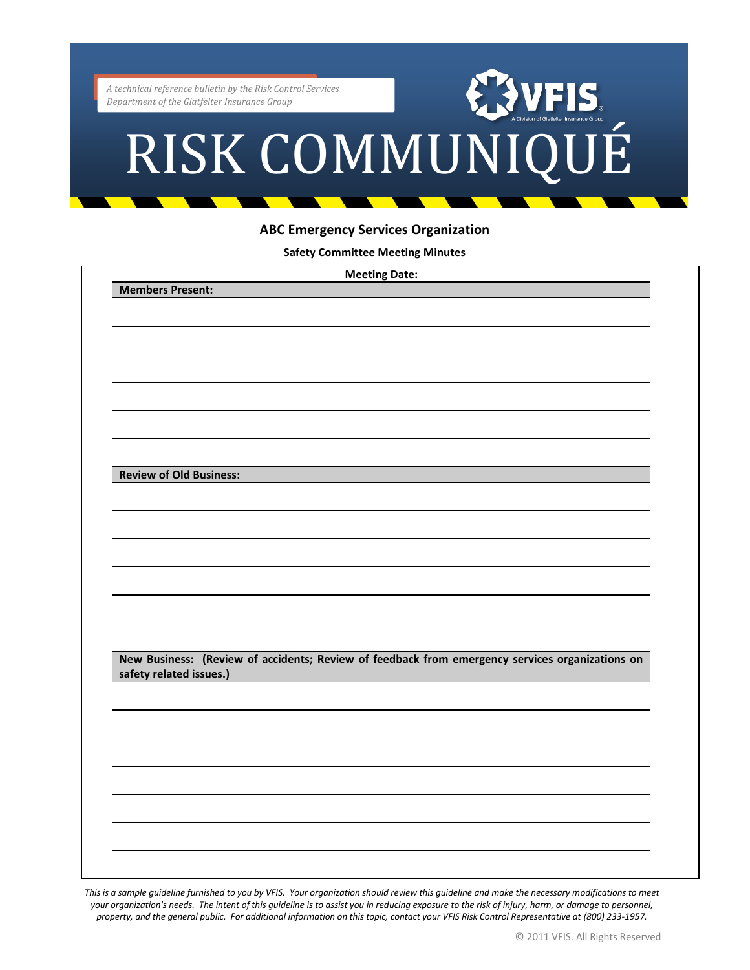# echnical reference bulletin by the Risk Control Services<br>partment of the Glatfelter Insurance Group<br>RISK COMMUNIQUÉ

### **ABC Emergency Services Organization**

**Safety Committee Meeting Minutes**

|                                | <b>Meeting Date:</b>                                                                            |
|--------------------------------|-------------------------------------------------------------------------------------------------|
| <b>Members Present:</b>        |                                                                                                 |
|                                |                                                                                                 |
|                                |                                                                                                 |
|                                |                                                                                                 |
|                                |                                                                                                 |
|                                |                                                                                                 |
|                                |                                                                                                 |
|                                |                                                                                                 |
|                                |                                                                                                 |
|                                |                                                                                                 |
|                                |                                                                                                 |
|                                |                                                                                                 |
| <b>Review of Old Business:</b> |                                                                                                 |
|                                |                                                                                                 |
|                                |                                                                                                 |
|                                |                                                                                                 |
|                                |                                                                                                 |
|                                |                                                                                                 |
|                                |                                                                                                 |
|                                |                                                                                                 |
|                                |                                                                                                 |
|                                |                                                                                                 |
|                                |                                                                                                 |
|                                |                                                                                                 |
|                                |                                                                                                 |
|                                | New Business: (Review of accidents; Review of feedback from emergency services organizations on |
| safety related issues.)        |                                                                                                 |
|                                |                                                                                                 |
|                                |                                                                                                 |
|                                |                                                                                                 |
|                                |                                                                                                 |
|                                |                                                                                                 |
|                                |                                                                                                 |
|                                |                                                                                                 |
|                                |                                                                                                 |
|                                |                                                                                                 |
|                                |                                                                                                 |
|                                |                                                                                                 |
|                                |                                                                                                 |